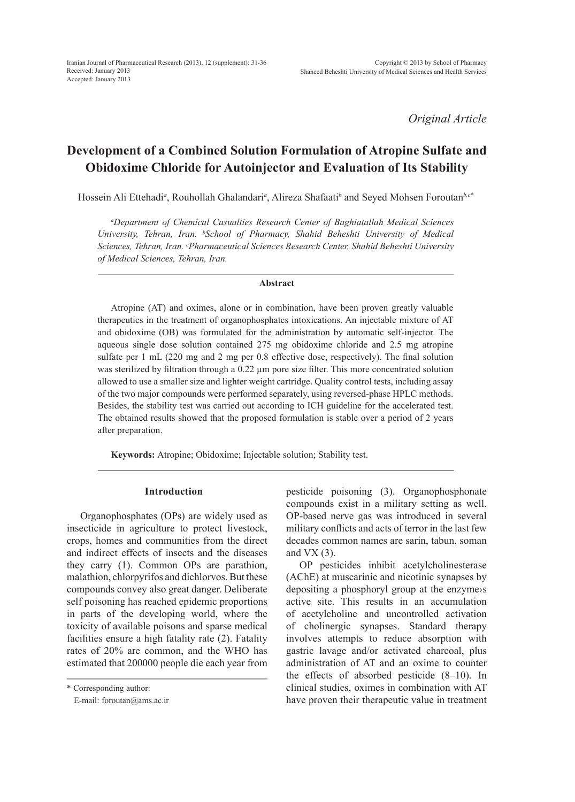*Original Article*

# **Development of a Combined Solution Formulation of Atropine Sulfate and Obidoxime Chloride for Autoinjector and Evaluation of Its Stability**

Hossein Ali Ettehadi*<sup>a</sup>* , Rouhollah Ghalandari*<sup>a</sup>* , Alireza Shafaati*<sup>b</sup>* and Seyed Mohsen Foroutan*b,c\**

*a Department of Chemical Casualties Research Center of Baghiatallah Medical Sciences University, Tehran, Iran. b School of Pharmacy, Shahid Beheshti University of Medical Sciences, Tehran, Iran. c Pharmaceutical Sciences Research Center, Shahid Beheshti University of Medical Sciences, Tehran, Iran.*

### **Abstract**

Atropine (AT) and oximes, alone or in combination, have been proven greatly valuable therapeutics in the treatment of organophosphates intoxications. An injectable mixture of AT and obidoxime (OB) was formulated for the administration by automatic self-injector. The aqueous single dose solution contained 275 mg obidoxime chloride and 2.5 mg atropine sulfate per 1 mL (220 mg and 2 mg per 0.8 effective dose, respectively). The final solution was sterilized by filtration through a 0.22  $\mu$ m pore size filter. This more concentrated solution allowed to use a smaller size and lighter weight cartridge. Quality control tests, including assay of the two major compounds were performed separately, using reversed-phase HPLC methods. Besides, the stability test was carried out according to ICH guideline for the accelerated test. The obtained results showed that the proposed formulation is stable over a period of 2 years after preparation.

**Keywords:** Atropine; Obidoxime; Injectable solution; Stability test.

### **Introduction**

Organophosphates (OPs) are widely used as insecticide in agriculture to protect livestock, crops, homes and communities from the direct and indirect effects of insects and the diseases they carry (1). Common OPs are parathion, malathion, chlorpyrifos and dichlorvos. But these compounds convey also great danger. Deliberate self poisoning has reached epidemic proportions in parts of the developing world, where the toxicity of available poisons and sparse medical facilities ensure a high fatality rate (2). Fatality rates of 20% are common, and the WHO has estimated that 200000 people die each year from pesticide poisoning (3). Organophosphonate compounds exist in a military setting as well. OP-based nerve gas was introduced in several military conflicts and acts of terror in the last few decades common names are sarin, tabun, soman and  $VX(3)$ .

OP pesticides inhibit acetylcholinesterase (AChE) at muscarinic and nicotinic synapses by depositing a phosphoryl group at the enzyme›s active site. This results in an accumulation of acetylcholine and uncontrolled activation of cholinergic synapses. Standard therapy involves attempts to reduce absorption with gastric lavage and/or activated charcoal, plus administration of AT and an oxime to counter the effects of absorbed pesticide (8–10). In clinical studies, oximes in combination with AT have proven their therapeutic value in treatment

<sup>\*</sup> Corresponding author:

E-mail: foroutan@ams.ac.ir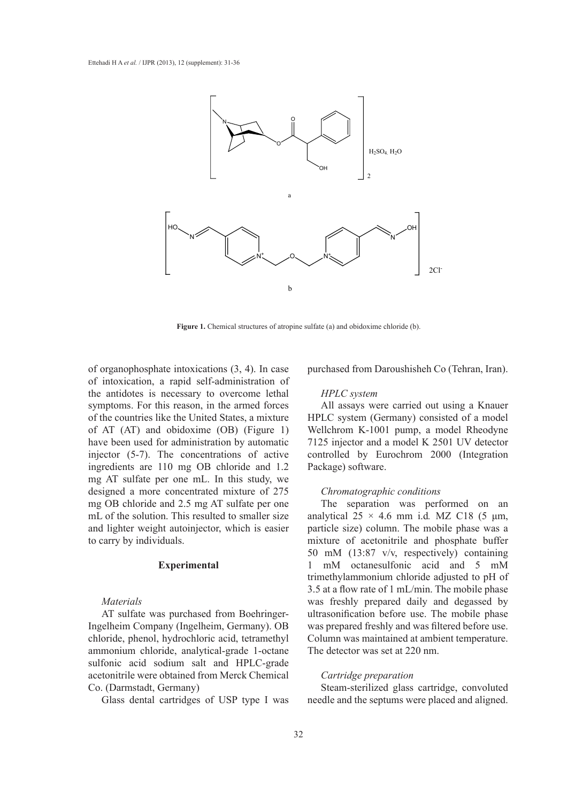

**Figure 1.** Chemical structures of atropine sulfate (a) and obidoxime chloride (b).

of organophosphate intoxications (3, 4). In case of intoxication, a rapid self-administration of the antidotes is necessary to overcome lethal symptoms. For this reason, in the armed forces of the countries like the United States, a mixture of AT (AT) and obidoxime (OB) (Figure 1) have been used for administration by automatic injector (5-7). The concentrations of active ingredients are 110 mg OB chloride and 1.2 mg AT sulfate per one mL. In this study, we designed a more concentrated mixture of 275 mg OB chloride and 2.5 mg AT sulfate per one mL of the solution. This resulted to smaller size and lighter weight autoinjector, which is easier to carry by individuals.

### **Experimental**

### *Materials*

AT sulfate was purchased from Boehringer-Ingelheim Company (Ingelheim, Germany). OB chloride, phenol, hydrochloric acid, tetramethyl ammonium chloride, analytical-grade 1-octane sulfonic acid sodium salt and HPLC-grade acetonitrile were obtained from Merck Chemical Co. (Darmstadt, Germany)

Glass dental cartridges of USP type I was

purchased from Daroushisheh Co (Tehran, Iran).

### *HPLC system*

All assays were carried out using a Knauer HPLC system (Germany) consisted of a model Wellchrom K-1001 pump, a model Rheodyne 7125 injector and a model K 2501 UV detector controlled by Eurochrom 2000 (Integration Package) software.

### *Chromatographic conditions*

The separation was performed on an analytical  $25 \times 4.6$  mm i.d. MZ C18 (5  $\mu$ m, particle size) column. The mobile phase was a mixture of acetonitrile and phosphate buffer 50 mM (13:87 v/v, respectively) containing 1 mM octanesulfonic acid and 5 mM trimethylammonium chloride adjusted to pH of 3.5 at a flow rate of 1 mL/min. The mobile phase was freshly prepared daily and degassed by ultrasonification before use. The mobile phase was prepared freshly and was filtered before use. Column was maintained at ambient temperature. The detector was set at 220 nm.

### *Cartridge preparation*

Steam-sterilized glass cartridge, convoluted needle and the septums were placed and aligned.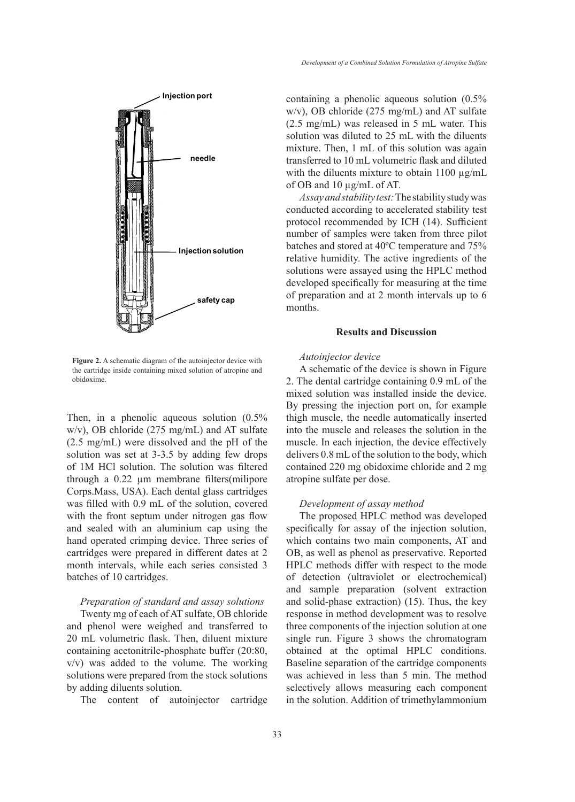

Figure 2. A schematic diagram of the autoinjector device with the cartridge inside containing mixed solution of atropine and obidoxime.

Then, in a phenolic aqueous solution (0.5% w/v), OB chloride (275 mg/mL) and AT sulfate (2.5 mg/mL) were dissolved and the pH of the solution was set at 3-3.5 by adding few drops of 1M HCl solution. The solution was filtered through a 0.22 µm membrane filters(milipore Corps.Mass, USA). Each dental glass cartridges was filled with 0.9 mL of the solution, covered with the front septum under nitrogen gas flow and sealed with an aluminium cap using the hand operated crimping device. Three series of cartridges were prepared in different dates at 2 month intervals, while each series consisted 3 batches of 10 cartridges.

## *Preparation of standard and assay solutions*

Twenty mg of each of AT sulfate, OB chloride and phenol were weighed and transferred to 20 mL volumetric flask. Then, diluent mixture containing acetonitrile-phosphate buffer (20:80, v/v) was added to the volume. The working solutions were prepared from the stock solutions by adding diluents solution.

The content of autoinjector cartridge

containing a phenolic aqueous solution (0.5% w/v), OB chloride (275 mg/mL) and AT sulfate (2.5 mg/mL) was released in 5 mL water. This solution was diluted to 25 mL with the diluents mixture. Then, 1 mL of this solution was again transferred to 10 mL volumetric flask and diluted with the diluents mixture to obtain  $1100 \mu g/mL$ of OB and 10 µg/mL of AT.

*Assay and stability test:* The stability study was conducted according to accelerated stability test protocol recommended by ICH (14). Sufficient number of samples were taken from three pilot batches and stored at 40ºC temperature and 75% relative humidity. The active ingredients of the solutions were assayed using the HPLC method developed specifically for measuring at the time of preparation and at 2 month intervals up to 6 months.

### **Results and Discussion**

### *Autoinjector device*

A schematic of the device is shown in Figure 2. The dental cartridge containing 0.9 mL of the mixed solution was installed inside the device. By pressing the injection port on, for example thigh muscle, the needle automatically inserted into the muscle and releases the solution in the muscle. In each injection, the device effectively delivers 0.8 mL of the solution to the body, which contained 220 mg obidoxime chloride and 2 mg atropine sulfate per dose.

### *Development of assay method*

The proposed HPLC method was developed specifically for assay of the injection solution, which contains two main components, AT and OB, as well as phenol as preservative. Reported HPLC methods differ with respect to the mode of detection (ultraviolet or electrochemical) and sample preparation (solvent extraction and solid-phase extraction) (15). Thus, the key response in method development was to resolve three components of the injection solution at one single run. Figure 3 shows the chromatogram obtained at the optimal HPLC conditions. Baseline separation of the cartridge components was achieved in less than 5 min. The method selectively allows measuring each component in the solution. Addition of trimethylammonium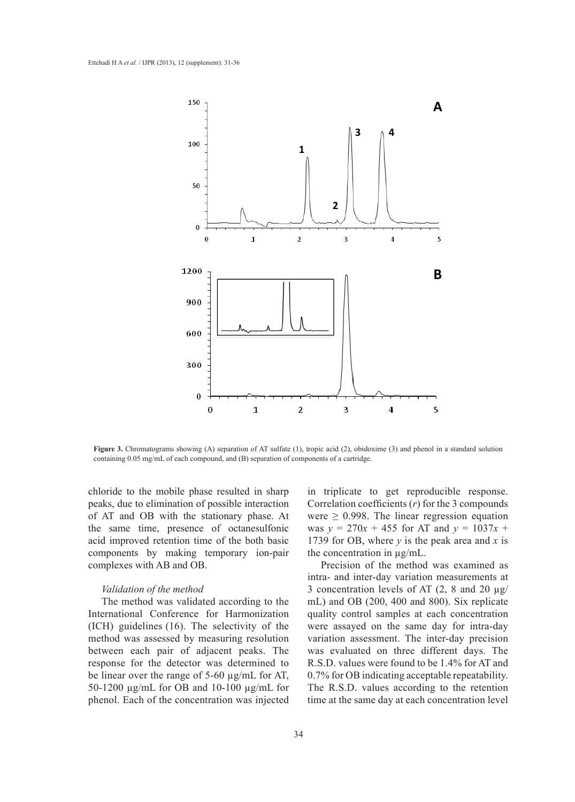

**Figure 3.** Chromatograms showing (A) separation of AT sulfate (1), tropic acid (2), obidoxime (3) and phenol in a standard solution containing 0.05 mg/mL of each compound, and (B) separation of components of a cartridge.

chloride to the mobile phase resulted in sharp peaks, due to elimination of possible interaction of AT and OB with the stationary phase. At the same time, presence of octanesulfonic acid improved retention time of the both basic components by making temporary ion-pair complexes with AB and OB.

### *Validation of the method*

The method was validated according to the International Conference for Harmonization (ICH) guidelines (16). The selectivity of the method was assessed by measuring resolution between each pair of adjacent peaks. The response for the detector was determined to be linear over the range of 5-60 µg/mL for AT, 50-1200 µg/mL for OB and 10-100 µg/mL for phenol. Each of the concentration was injected

in triplicate to get reproducible response. Correlation coefficients (*r*) for the 3 compounds were  $\geq$  0.998. The linear regression equation was  $y = 270x + 455$  for AT and  $y = 1037x +$ 1739 for OB, where *y* is the peak area and *x* is the concentration in µg/mL.

Precision of the method was examined as intra- and inter-day variation measurements at 3 concentration levels of AT  $(2, 8 \text{ and } 20 \text{ µg})$ mL) and OB (200, 400 and 800). Six replicate quality control samples at each concentration were assayed on the same day for intra-day variation assessment. The inter-day precision was evaluated on three different days. The R.S.D. values were found to be 1.4% for AT and 0.7% for OB indicating acceptable repeatability. The R.S.D. values according to the retention time at the same day at each concentration level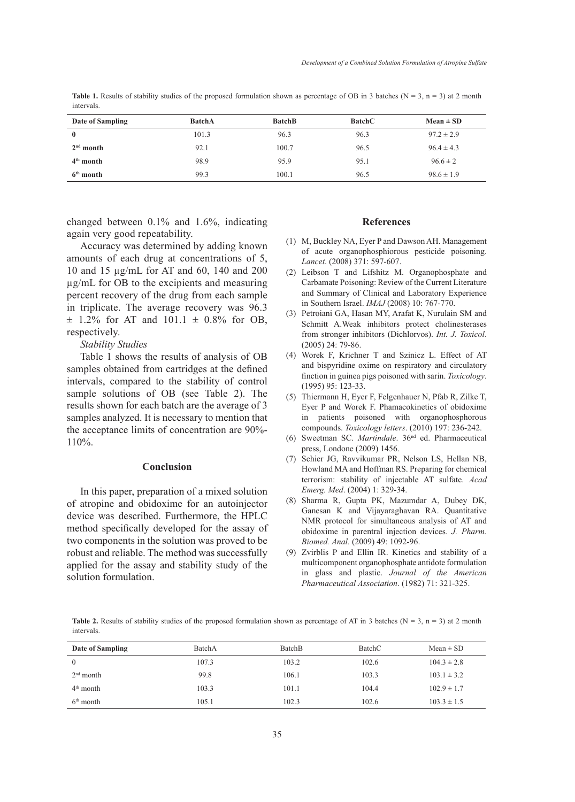**Table 1.** Results of stability studies of the proposed formulation shown as percentage of OB in 3 batches ( $N = 3$ ,  $n = 3$ ) at 2 month intervals.

| Date of Sampling | <b>BatchA</b> | <b>BatchB</b> | <b>BatchC</b> | $Mean \pm SD$  |
|------------------|---------------|---------------|---------------|----------------|
| $\bf{0}$         | 101.3         | 96.3          | 96.3          | $97.2 \pm 2.9$ |
| $2nd$ month      | 92.1          | 100.7         | 96.5          | $96.4 \pm 4.3$ |
| $4th$ month      | 98.9          | 95.9          | 95.1          | $96.6 \pm 2$   |
| $6th$ month      | 99.3          | 100.1         | 96.5          | $98.6 \pm 1.9$ |

changed between 0.1% and 1.6%, indicating again very good repeatability.

Accuracy was determined by adding known amounts of each drug at concentrations of 5, 10 and 15 µg/mL for AT and 60, 140 and 200 µg/mL for OB to the excipients and measuring percent recovery of the drug from each sample in triplicate. The average recovery was 96.3  $\pm$  1.2% for AT and 101.1  $\pm$  0.8% for OB, respectively.

*Stability Studies*

Table 1 shows the results of analysis of OB samples obtained from cartridges at the defined intervals, compared to the stability of control sample solutions of OB (see Table 2). The results shown for each batch are the average of 3 samples analyzed. It is necessary to mention that the acceptance limits of concentration are 90%- 110%.

### **Conclusion**

In this paper, preparation of a mixed solution of atropine and obidoxime for an autoinjector device was described. Furthermore, the HPLC method specifically developed for the assay of two components in the solution was proved to be robust and reliable. The method was successfully applied for the assay and stability study of the solution formulation.

#### **References**

- M, Buckley NA, Eyer P and Dawson AH. Management (1) of acute organophosphiorous pesticide poisoning. *Lancet*. (2008) 371: 597-607.
- Leibson T and Lifshitz M. Organophosphate and (2) Carbamate Poisoning: Review of the Current Literature and Summary of Clinical and Laboratory Experience in Southern Israel. *IMAJ* (2008) 10: 767-770.
- Petroiani GA, Hasan MY, Arafat K, Nurulain SM and (3) Schmitt A.Weak inhibitors protect cholinesterases from stronger inhibitors (Dichlorvos). *Int. J. Toxicol*. (2005) 24: 79-86.
- Worek F, Krichner T and Szinicz L. Effect of AT (4) and bispyridine oxime on respiratory and circulatory finction in guinea pigs poisoned with sarin. *Toxicology*. (1995) 95: 123-33.
- (5) Thiermann H, Eyer F, Felgenhauer N, Pfab R, Zilke T, Eyer P and Worek F. Phamacokinetics of obidoxime in patients poisoned with organophosphorous compounds. *Toxicology letters*. (2010) 197: 236-242.
- (6) Sweetman SC. Martindale. 36<sup>nd</sup> ed. Pharmaceutical press, Londone (2009) 1456.
- (7) Schier JG, Ravvikumar PR, Nelson LS, Hellan NB, Howland MA and Hoffman RS. Preparing for chemical terrorism: stability of injectable AT sulfate. *Acad Emerg. Med*. (2004) 1: 329-34.
- (8) Sharma R, Gupta PK, Mazumdar A, Dubey DK, Ganesan K and Vijayaraghavan RA. Quantitative NMR protocol for simultaneous analysis of AT and obidoxime in parentral injection devices*. J. Pharm. Biomed. Anal.* (2009) 49: 1092-96.
- Zvirblis P and Ellin IR. Kinetics and stability of a (9)multicomponent organophosphate antidote formulation in glass and plastic. *Journal of the American Pharmaceutical Association*. (1982) 71: 321-325.

**Table 2.** Results of stability studies of the proposed formulation shown as percentage of AT in 3 batches ( $N = 3$ ,  $n = 3$ ) at 2 month intervals.

| Date of Sampling | BatchA | <b>Batch</b> B | BatchC | $Mean \pm SD$   |
|------------------|--------|----------------|--------|-----------------|
| $\mathbf{0}$     | 107.3  | 103.2          | 102.6  | $104.3 \pm 2.8$ |
| $2nd$ month      | 99.8   | 106.1          | 103.3  | $103.1 \pm 3.2$ |
| $4th$ month      | 103.3  | 101.1          | 104.4  | $102.9 \pm 1.7$ |
| $6th$ month      | 105.1  | 102.3          | 102.6  | $103.3 \pm 1.5$ |